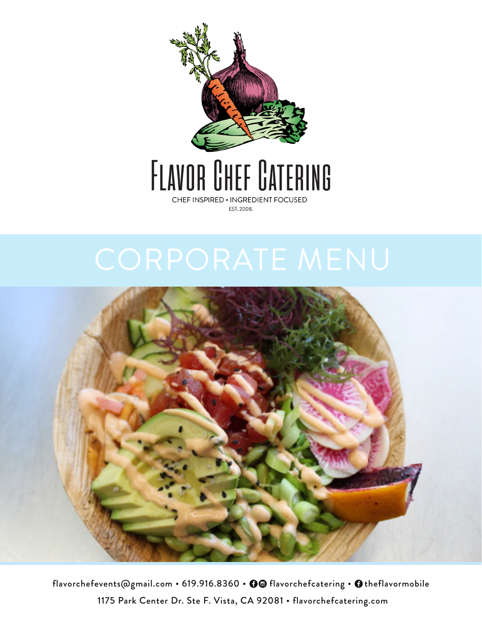

# FLAVOR CHEF CATERING CHEF INSPIRED . INGREDIENT FOCUSED

EST. 2008.



flavorchefevents@gmail.com • 619.916.8360 •  $\bigcirc$  flavorchefcatering •  $\bigcirc$  theflavormobile 1175 Park Center Dr. Ste F. Vista, CA 92081 • flavorchefcatering.com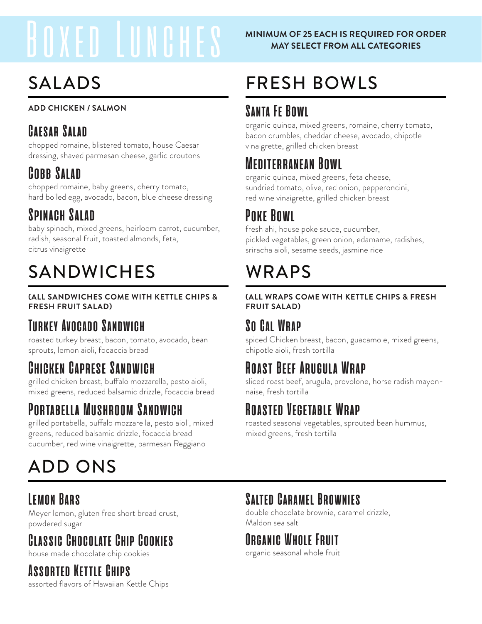# Boxed Lunches

# SALADS

## **ADD CHICKEN / SALMON**

## **Caesar Salad**

chopped romaine, blistered tomato, house Caesar dressing, shaved parmesan cheese, garlic croutons

## **Cobb Salad**

chopped romaine, baby greens, cherry tomato, hard boiled egg, avocado, bacon, blue cheese dressing

## **Spinach Salad**

baby spinach, mixed greens, heirloom carrot, cucumber, radish, seasonal fruit, toasted almonds, feta, citrus vinaigrette

# SANDWICHES WRAPS

## **(ALL SANDWICHES COME WITH KETTLE CHIPS & FRESH FRUIT SALAD)**

## **Turkey Avocado Sandwich**

roasted turkey breast, bacon, tomato, avocado, bean sprouts, lemon aioli, focaccia bread

## **Chicken Caprese Sandwich**

grilled chicken breast, buffalo mozzarella, pesto aioli, mixed greens, reduced balsamic drizzle, focaccia bread

## **Portabella Mushroom Sandwich**

grilled portabella, buffalo mozzarella, pesto aioli, mixed greens, reduced balsamic drizzle, focaccia bread cucumber, red wine vinaigrette, parmesan Reggiano

# ADD ONS

## **Lemon Bars**

Meyer lemon, gluten free short bread crust, powdered sugar

# **Classic Chocolate Chip Cookies**

house made chocolate chip cookies

## **Assorted Kettle Chips**

assorted flavors of Hawaiian Kettle Chips

## **MINIMUM OF 25 EACH IS REQUIRED FOR ORDER MAY SELECT FROM ALL CATEGORIES**

# FRESH BOWLS

## **Santa Fe Bowl**

organic quinoa, mixed greens, romaine, cherry tomato, bacon crumbles, cheddar cheese, avocado, chipotle vinaigrette, grilled chicken breast

## **Mediterranean Bowl**

organic quinoa, mixed greens, feta cheese, sundried tomato, olive, red onion, pepperoncini, red wine vinaigrette, grilled chicken breast

## **Poke Bowl**

fresh ahi, house poke sauce, cucumber, pickled vegetables, green onion, edamame, radishes, sriracha aioli, sesame seeds, jasmine rice

## **(ALL WRAPS COME WITH KETTLE CHIPS & FRESH FRUIT SALAD)**

## **So Cal Wrap**

spiced Chicken breast, bacon, guacamole, mixed greens, chipotle aioli, fresh tortilla

## **Roast Beef Arugula Wrap**

sliced roast beef, arugula, provolone, horse radish mayonnaise, fresh tortilla

## **Roasted Vegetable Wrap**

roasted seasonal vegetables, sprouted bean hummus, mixed greens, fresh tortilla

## **Salted Caramel Brownies**

double chocolate brownie, caramel drizzle, Maldon sea salt

## **Organic Whole Fruit**

organic seasonal whole fruit